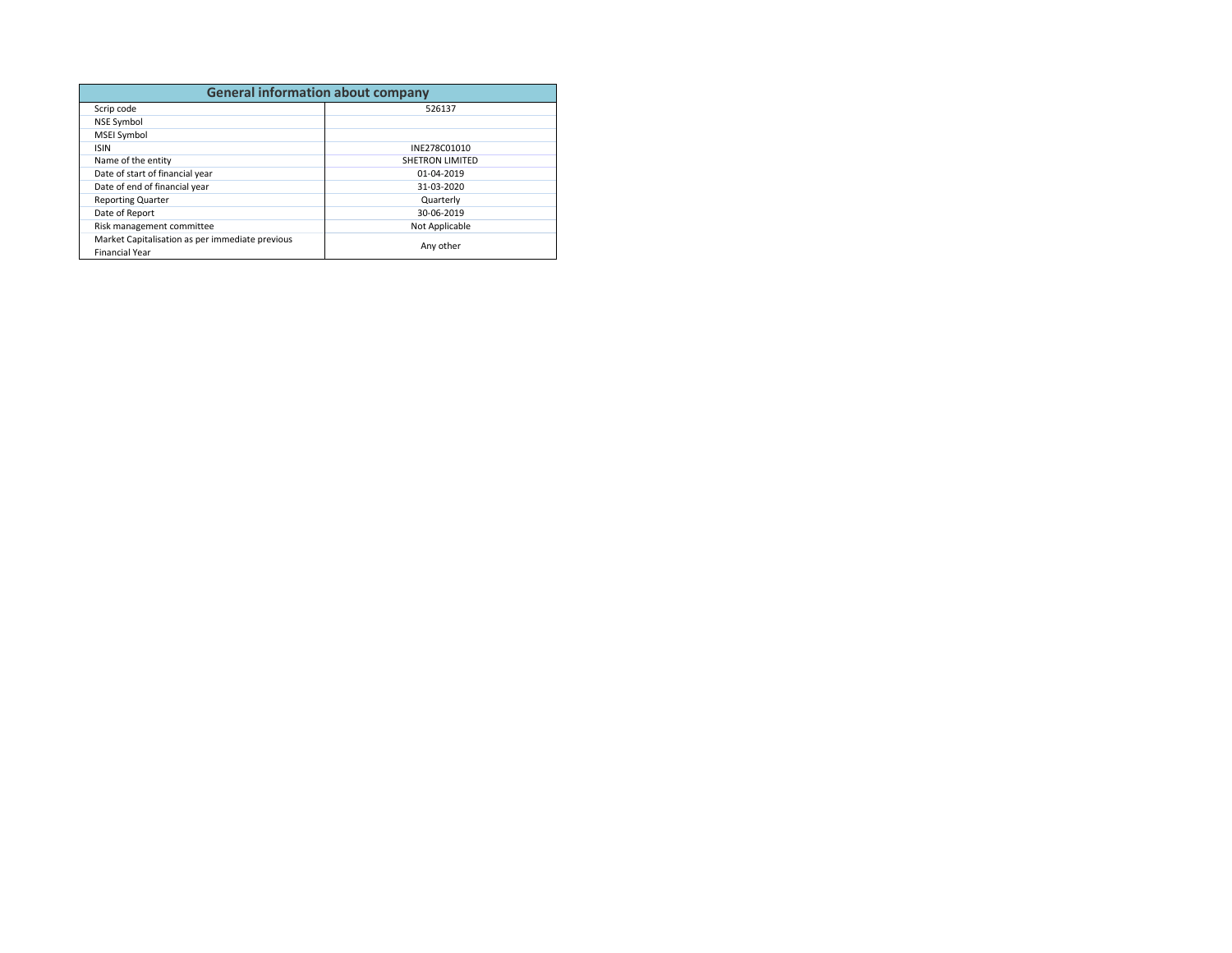| <b>General information about company</b>                                 |                 |  |  |  |  |
|--------------------------------------------------------------------------|-----------------|--|--|--|--|
| Scrip code                                                               | 526137          |  |  |  |  |
| <b>NSE Symbol</b>                                                        |                 |  |  |  |  |
| <b>MSEI Symbol</b>                                                       |                 |  |  |  |  |
| <b>ISIN</b>                                                              | INE278C01010    |  |  |  |  |
| Name of the entity                                                       | SHETRON LIMITED |  |  |  |  |
| Date of start of financial year                                          | 01-04-2019      |  |  |  |  |
| Date of end of financial year                                            | 31-03-2020      |  |  |  |  |
| <b>Reporting Quarter</b>                                                 | Quarterly       |  |  |  |  |
| Date of Report                                                           | 30-06-2019      |  |  |  |  |
| Risk management committee                                                | Not Applicable  |  |  |  |  |
| Market Capitalisation as per immediate previous<br><b>Financial Year</b> | Any other       |  |  |  |  |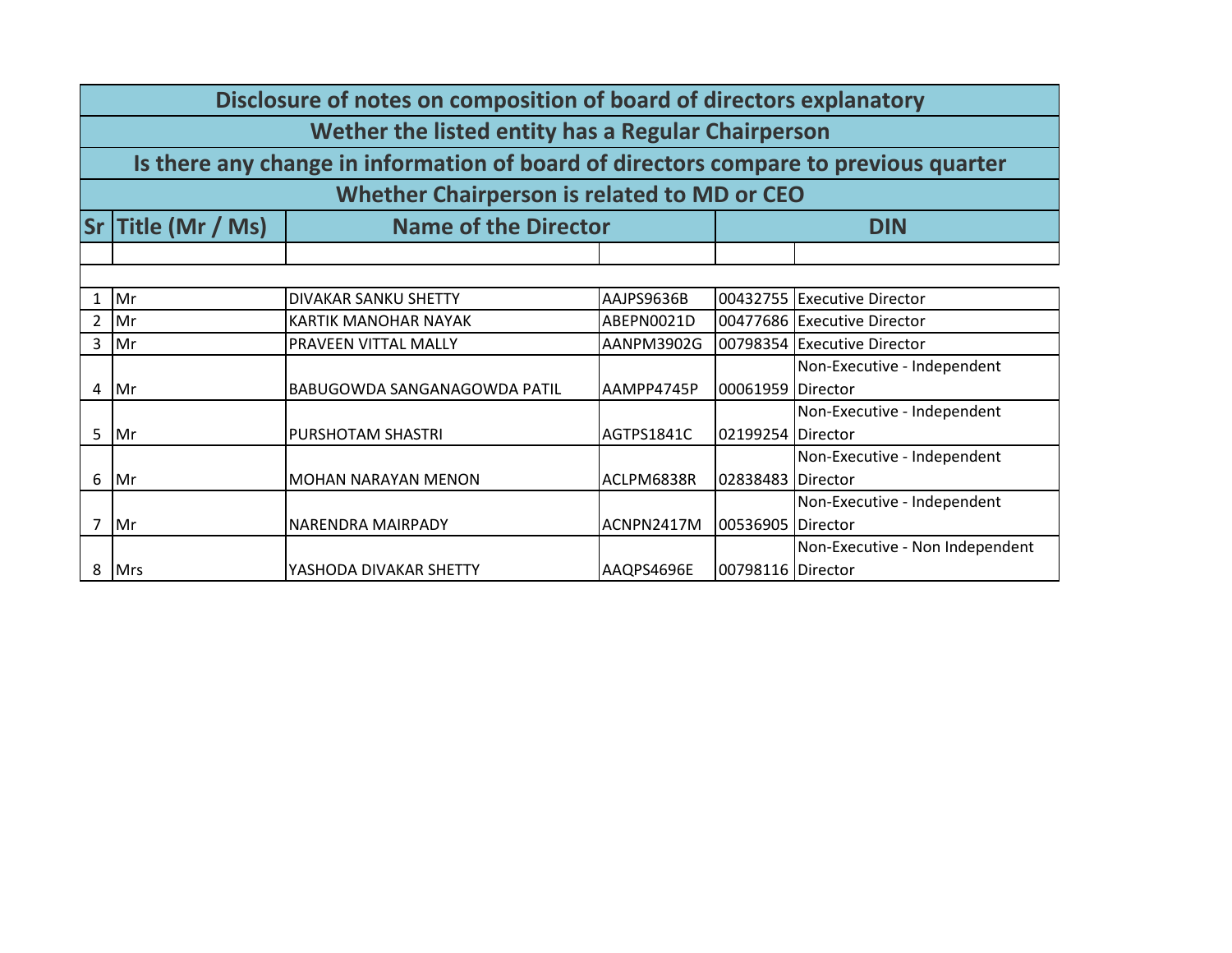|                | Disclosure of notes on composition of board of directors explanatory |                                                                                      |            |                   |                                 |  |  |  |
|----------------|----------------------------------------------------------------------|--------------------------------------------------------------------------------------|------------|-------------------|---------------------------------|--|--|--|
|                | Wether the listed entity has a Regular Chairperson                   |                                                                                      |            |                   |                                 |  |  |  |
|                |                                                                      | Is there any change in information of board of directors compare to previous quarter |            |                   |                                 |  |  |  |
|                |                                                                      | Whether Chairperson is related to MD or CEO                                          |            |                   |                                 |  |  |  |
|                | Sr Title (Mr / Ms)                                                   | <b>Name of the Director</b>                                                          |            |                   | <b>DIN</b>                      |  |  |  |
|                |                                                                      |                                                                                      |            |                   |                                 |  |  |  |
|                |                                                                      |                                                                                      |            |                   |                                 |  |  |  |
| 1              | Mr                                                                   | DIVAKAR SANKU SHETTY                                                                 | AAJPS9636B |                   | 00432755 Executive Director     |  |  |  |
| 2              | Mr                                                                   | KARTIK MANOHAR NAYAK                                                                 | ABEPN0021D |                   | 00477686 Executive Director     |  |  |  |
| 3              | Mr                                                                   | PRAVEEN VITTAL MALLY                                                                 | AANPM3902G |                   | 00798354 Executive Director     |  |  |  |
|                |                                                                      |                                                                                      |            |                   | Non-Executive - Independent     |  |  |  |
| 4              | Mr                                                                   | BABUGOWDA SANGANAGOWDA PATIL                                                         | AAMPP4745P | 00061959          | <b>Director</b>                 |  |  |  |
|                |                                                                      |                                                                                      |            |                   | Non-Executive - Independent     |  |  |  |
| 5              | Mr                                                                   | PURSHOTAM SHASTRI                                                                    | AGTPS1841C | 02199254 Director |                                 |  |  |  |
|                |                                                                      |                                                                                      |            |                   | Non-Executive - Independent     |  |  |  |
| 6              | Mr                                                                   | <b>MOHAN NARAYAN MENON</b>                                                           | ACLPM6838R | 02838483 Director |                                 |  |  |  |
|                |                                                                      |                                                                                      |            |                   | Non-Executive - Independent     |  |  |  |
| $\overline{7}$ | Mr                                                                   | NARENDRA MAIRPADY                                                                    | ACNPN2417M | 00536905          | Director                        |  |  |  |
|                |                                                                      |                                                                                      |            |                   | Non-Executive - Non Independent |  |  |  |
| 8              | <b>Mrs</b>                                                           | YASHODA DIVAKAR SHETTY                                                               | AAQPS4696E | 00798116 Director |                                 |  |  |  |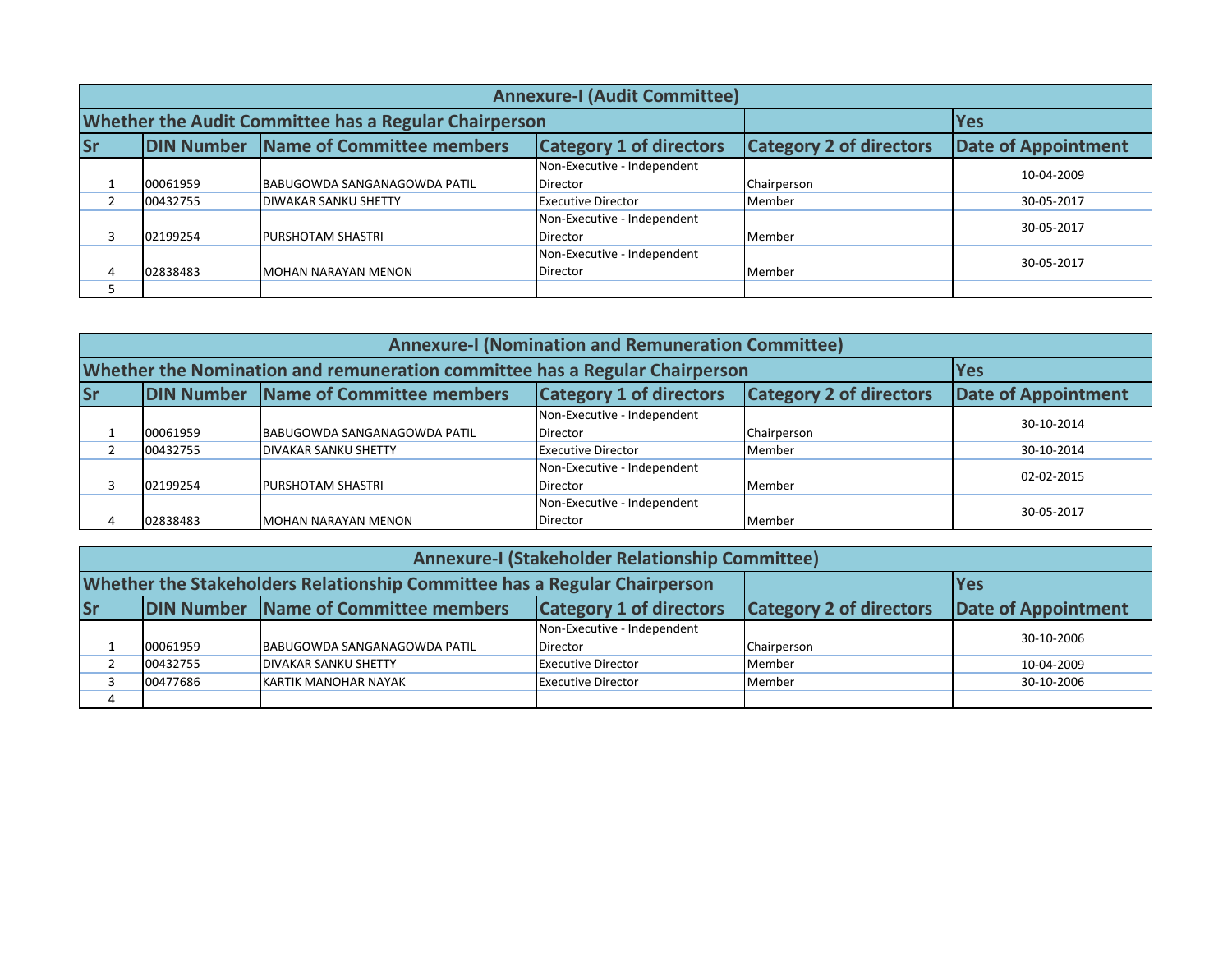|                                                                                            | <b>Annexure-I (Audit Committee)</b> |                                                              |                                |                            |            |  |  |
|--------------------------------------------------------------------------------------------|-------------------------------------|--------------------------------------------------------------|--------------------------------|----------------------------|------------|--|--|
|                                                                                            |                                     | <b>Whether the Audit Committee has a Regular Chairperson</b> |                                |                            | <b>Yes</b> |  |  |
| <b>DIN Number Name of Committee members</b><br><b>Category 1 of directors</b><br><b>Sr</b> |                                     |                                                              | <b>Category 2 of directors</b> | <b>Date of Appointment</b> |            |  |  |
|                                                                                            |                                     |                                                              | Non-Executive - Independent    |                            | 10-04-2009 |  |  |
|                                                                                            | 00061959                            | <b>BABUGOWDA SANGANAGOWDA PATIL</b>                          | <b>Director</b>                | Chairperson                |            |  |  |
|                                                                                            | 00432755                            | <b>DIWAKAR SANKU SHETTY</b>                                  | <b>Executive Director</b>      | Member                     | 30-05-2017 |  |  |
|                                                                                            |                                     |                                                              | Non-Executive - Independent    |                            | 30-05-2017 |  |  |
|                                                                                            | 02199254                            | <b>PURSHOTAM SHASTRI</b>                                     | Director                       | Member                     |            |  |  |
|                                                                                            |                                     |                                                              | Non-Executive - Independent    |                            |            |  |  |
| $\overline{a}$                                                                             | 02838483                            | IMOHAN NARAYAN MENON                                         | Director                       | Member                     | 30-05-2017 |  |  |
|                                                                                            |                                     |                                                              |                                |                            |            |  |  |

|           | <b>Annexure-I (Nomination and Remuneration Committee)</b>                                                                                     |                                                                             |                             |               |            |  |  |
|-----------|-----------------------------------------------------------------------------------------------------------------------------------------------|-----------------------------------------------------------------------------|-----------------------------|---------------|------------|--|--|
|           |                                                                                                                                               | Whether the Nomination and remuneration committee has a Regular Chairperson |                             |               | <b>Yes</b> |  |  |
| <b>Sr</b> | <b>DIN Number Name of Committee members</b><br><b>Category 1 of directors</b><br><b>Category 2 of directors</b><br><b>Date of Appointment</b> |                                                                             |                             |               |            |  |  |
|           |                                                                                                                                               |                                                                             | Non-Executive - Independent |               | 30-10-2014 |  |  |
|           | 00061959                                                                                                                                      | BABUGOWDA SANGANAGOWDA PATIL                                                | <b>Director</b>             | Chairperson   |            |  |  |
|           | 00432755                                                                                                                                      | <b>DIVAKAR SANKU SHETTY</b>                                                 | <b>Executive Director</b>   | Member        | 30-10-2014 |  |  |
|           |                                                                                                                                               |                                                                             | Non-Executive - Independent |               | 02-02-2015 |  |  |
|           | 02199254                                                                                                                                      | PURSHOTAM SHASTRI                                                           | <b>Director</b>             | <b>Member</b> |            |  |  |
|           |                                                                                                                                               |                                                                             | Non-Executive - Independent |               | 30-05-2017 |  |  |
|           | 02838483                                                                                                                                      | MOHAN NARAYAN MENON                                                         | <b>Director</b>             | Member        |            |  |  |

|                                                                                            | <b>Annexure-I (Stakeholder Relationship Committee)</b> |                                                                           |                             |             |            |  |
|--------------------------------------------------------------------------------------------|--------------------------------------------------------|---------------------------------------------------------------------------|-----------------------------|-------------|------------|--|
|                                                                                            |                                                        | Whether the Stakeholders Relationship Committee has a Regular Chairperson |                             | <b>Yes</b>  |            |  |
| <b>Sr</b><br><b>DIN Number Name of Committee members</b><br><b>Category 1 of directors</b> |                                                        | <b>Category 2 of directors</b>                                            | <b>Date of Appointment</b>  |             |            |  |
|                                                                                            |                                                        |                                                                           | Non-Executive - Independent |             | 30-10-2006 |  |
|                                                                                            | 00061959                                               | BABUGOWDA SANGANAGOWDA PATIL                                              | <b>Director</b>             | Chairperson |            |  |
|                                                                                            | 00432755                                               | <b>DIVAKAR SANKU SHETTY</b>                                               | <b>Executive Director</b>   | Member      | 10-04-2009 |  |
|                                                                                            | 00477686                                               | KARTIK MANOHAR NAYAK                                                      | <b>Executive Director</b>   | Member      | 30-10-2006 |  |
| 4                                                                                          |                                                        |                                                                           |                             |             |            |  |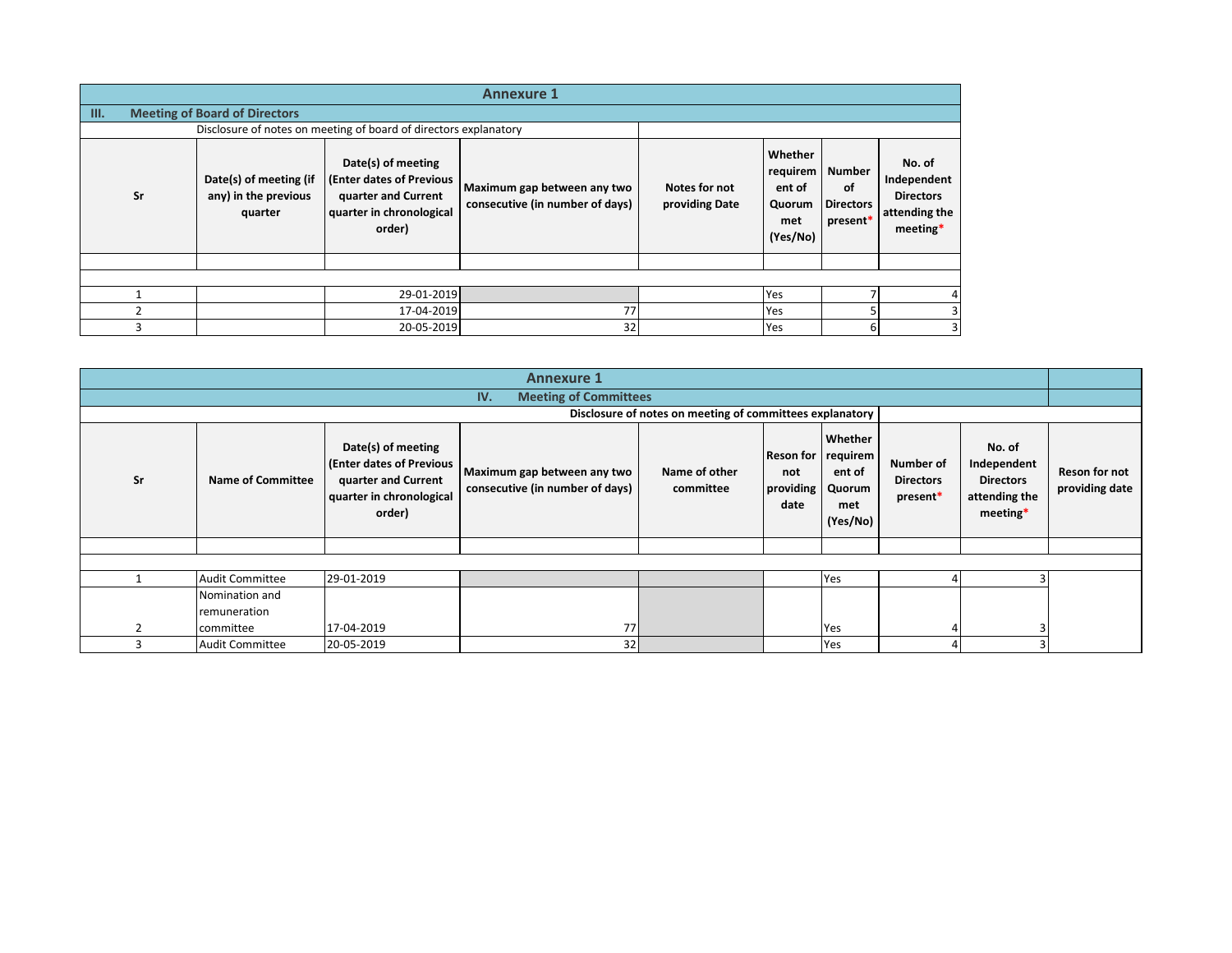|                                                                                                                                                                                                                                                  | <b>Annexure 1</b>                    |                                                                  |                                                            |                                              |                                                                        |  |  |  |  |  |
|--------------------------------------------------------------------------------------------------------------------------------------------------------------------------------------------------------------------------------------------------|--------------------------------------|------------------------------------------------------------------|------------------------------------------------------------|----------------------------------------------|------------------------------------------------------------------------|--|--|--|--|--|
| III.                                                                                                                                                                                                                                             | <b>Meeting of Board of Directors</b> |                                                                  |                                                            |                                              |                                                                        |  |  |  |  |  |
|                                                                                                                                                                                                                                                  |                                      | Disclosure of notes on meeting of board of directors explanatory |                                                            |                                              |                                                                        |  |  |  |  |  |
| Date(s) of meeting<br>(Enter dates of Previous<br>Date(s) of meeting (if<br>Maximum gap between any two<br>Sr<br>any) in the previous<br>quarter and Current<br>consecutive (in number of days)<br>quarter in chronological<br>quarter<br>order) |                                      | Notes for not<br>providing Date                                  | Whether<br>requirem<br>ent of<br>Quorum<br>met<br>(Yes/No) | Number<br>of<br><b>Directors</b><br>present* | No. of<br>Independent<br><b>Directors</b><br>attending the<br>meeting* |  |  |  |  |  |
|                                                                                                                                                                                                                                                  |                                      |                                                                  |                                                            |                                              |                                                                        |  |  |  |  |  |
|                                                                                                                                                                                                                                                  |                                      |                                                                  |                                                            |                                              |                                                                        |  |  |  |  |  |
|                                                                                                                                                                                                                                                  |                                      | 29-01-2019                                                       |                                                            |                                              | Yes                                                                    |  |  |  |  |  |
|                                                                                                                                                                                                                                                  |                                      | 17-04-2019                                                       | 77                                                         |                                              | Yes                                                                    |  |  |  |  |  |
|                                                                                                                                                                                                                                                  |                                      | 20-05-2019                                                       | 32                                                         |                                              | Yes                                                                    |  |  |  |  |  |

| <b>Annexure 1</b> |                          |                                                                                                             |                                                                |                                                          |                                                |                                                |                                           |                                                                        |                                 |
|-------------------|--------------------------|-------------------------------------------------------------------------------------------------------------|----------------------------------------------------------------|----------------------------------------------------------|------------------------------------------------|------------------------------------------------|-------------------------------------------|------------------------------------------------------------------------|---------------------------------|
|                   |                          |                                                                                                             | <b>Meeting of Committees</b><br>IV.                            |                                                          |                                                |                                                |                                           |                                                                        |                                 |
|                   |                          |                                                                                                             |                                                                | Disclosure of notes on meeting of committees explanatory |                                                |                                                |                                           |                                                                        |                                 |
| Sr                | <b>Name of Committee</b> | Date(s) of meeting<br>(Enter dates of Previous<br>quarter and Current<br>quarter in chronological<br>order) | Maximum gap between any two<br>consecutive (in number of days) | Name of other<br>committee                               | Reson for requirem<br>not<br>providing<br>date | Whether<br>ent of<br>Quorum<br>met<br>(Yes/No) | Number of<br><b>Directors</b><br>present* | No. of<br>Independent<br><b>Directors</b><br>attending the<br>meeting* | Reson for not<br>providing date |
|                   |                          |                                                                                                             |                                                                |                                                          |                                                |                                                |                                           |                                                                        |                                 |
|                   |                          |                                                                                                             |                                                                |                                                          |                                                |                                                |                                           |                                                                        |                                 |
|                   | <b>Audit Committee</b>   | 29-01-2019                                                                                                  |                                                                |                                                          |                                                | Yes                                            |                                           |                                                                        |                                 |
|                   | Nomination and           |                                                                                                             |                                                                |                                                          |                                                |                                                |                                           |                                                                        |                                 |
|                   | remuneration             |                                                                                                             |                                                                |                                                          |                                                |                                                |                                           |                                                                        |                                 |
|                   | committee                | 17-04-2019                                                                                                  | 77                                                             |                                                          |                                                | Yes                                            |                                           |                                                                        |                                 |
|                   | <b>Audit Committee</b>   | 20-05-2019                                                                                                  | 32                                                             |                                                          |                                                | Yes                                            |                                           |                                                                        |                                 |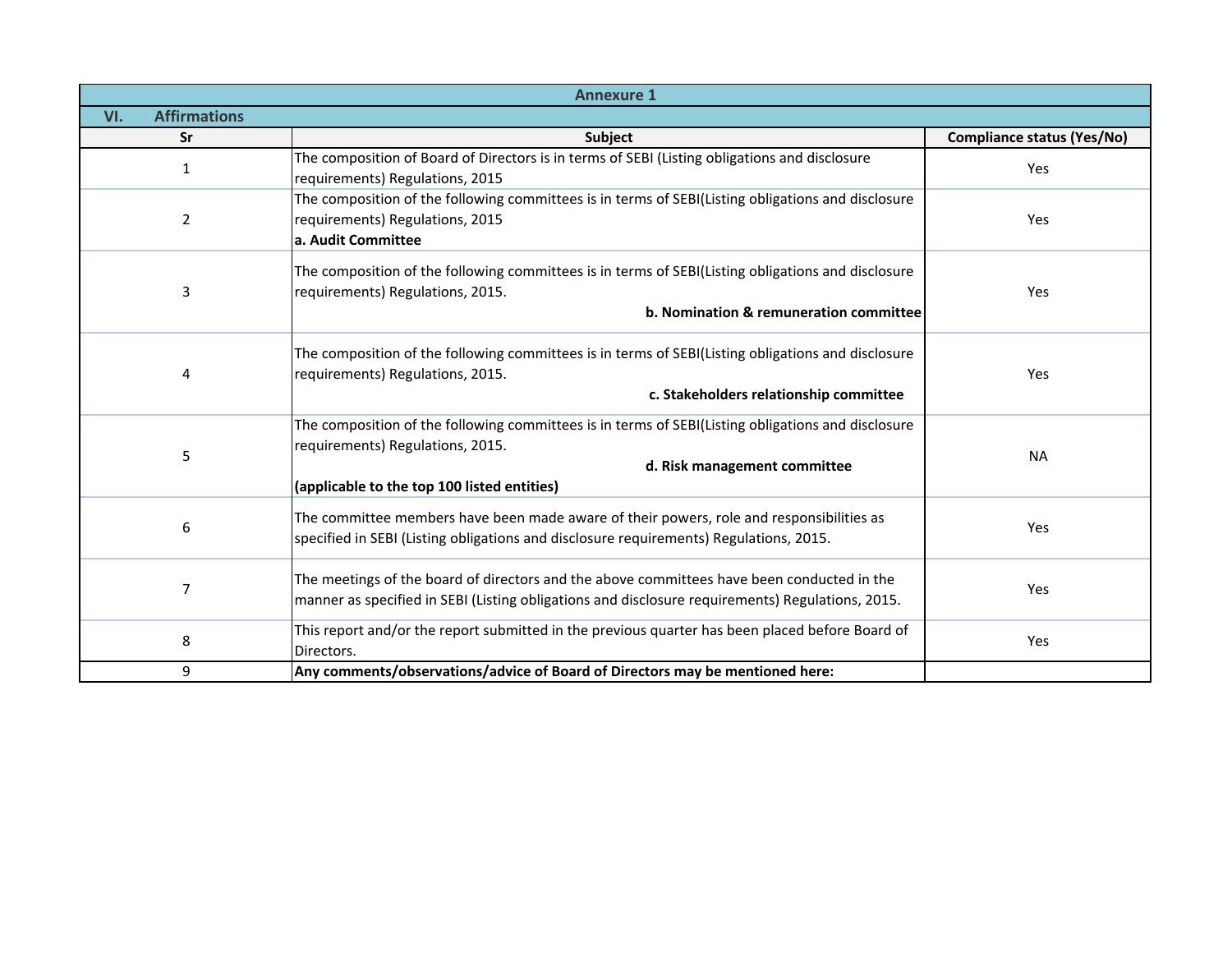|                            | <b>Annexure 1</b>                                                                                                                                                                                                     |                            |
|----------------------------|-----------------------------------------------------------------------------------------------------------------------------------------------------------------------------------------------------------------------|----------------------------|
| <b>Affirmations</b><br>VI. |                                                                                                                                                                                                                       |                            |
| Sr                         | <b>Subject</b>                                                                                                                                                                                                        | Compliance status (Yes/No) |
| $\mathbf{1}$               | The composition of Board of Directors is in terms of SEBI (Listing obligations and disclosure<br>requirements) Regulations, 2015                                                                                      | Yes                        |
| $\overline{2}$             | The composition of the following committees is in terms of SEBI(Listing obligations and disclosure<br>requirements) Regulations, 2015<br>a. Audit Committee                                                           | Yes                        |
| 3                          | The composition of the following committees is in terms of SEBI(Listing obligations and disclosure<br>requirements) Regulations, 2015.<br>b. Nomination & remuneration committee                                      | <b>Yes</b>                 |
| 4                          | The composition of the following committees is in terms of SEBI(Listing obligations and disclosure<br>requirements) Regulations, 2015.<br>c. Stakeholders relationship committee                                      | <b>Yes</b>                 |
| 5                          | The composition of the following committees is in terms of SEBI(Listing obligations and disclosure<br>requirements) Regulations, 2015.<br>d. Risk management committee<br>(applicable to the top 100 listed entities) | <b>NA</b>                  |
| 6                          | The committee members have been made aware of their powers, role and responsibilities as<br>specified in SEBI (Listing obligations and disclosure requirements) Regulations, 2015.                                    | <b>Yes</b>                 |
| 7                          | The meetings of the board of directors and the above committees have been conducted in the<br>manner as specified in SEBI (Listing obligations and disclosure requirements) Regulations, 2015.                        | Yes                        |
| 8                          | This report and/or the report submitted in the previous quarter has been placed before Board of<br>Directors.                                                                                                         | Yes                        |
| 9                          | Any comments/observations/advice of Board of Directors may be mentioned here:                                                                                                                                         |                            |